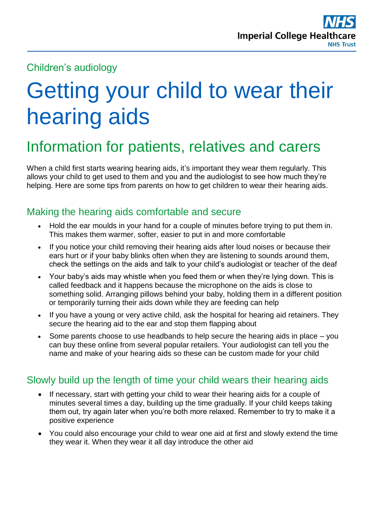# Children's audiology

# Getting your child to wear their hearing aids

# Information for patients, relatives and carers

When a child first starts wearing hearing aids, it's important they wear them regularly. This allows your child to get used to them and you and the audiologist to see how much they're helping. Here are some tips from parents on how to get children to wear their hearing aids.

# Making the hearing aids comfortable and secure

- Hold the ear moulds in your hand for a couple of minutes before trying to put them in. This makes them warmer, softer, easier to put in and more comfortable
- If you notice your child removing their hearing aids after loud noises or because their ears hurt or if your baby blinks often when they are listening to sounds around them, check the settings on the aids and talk to your child's audiologist or teacher of the deaf
- Your baby's aids may whistle when you feed them or when they're lying down. This is called feedback and it happens because the microphone on the aids is close to something solid. Arranging pillows behind your baby, holding them in a different position or temporarily turning their aids down while they are feeding can help
- If you have a young or very active child, ask the hospital for hearing aid retainers. They secure the hearing aid to the ear and stop them flapping about
- Some parents choose to use headbands to help secure the hearing aids in place you can buy these online from several popular retailers. Your audiologist can tell you the name and make of your hearing aids so these can be custom made for your child

# Slowly build up the length of time your child wears their hearing aids

- If necessary, start with getting your child to wear their hearing aids for a couple of minutes several times a day, building up the time gradually. If your child keeps taking them out, try again later when you're both more relaxed. Remember to try to make it a positive experience
- You could also encourage your child to wear one aid at first and slowly extend the time they wear it. When they wear it all day introduce the other aid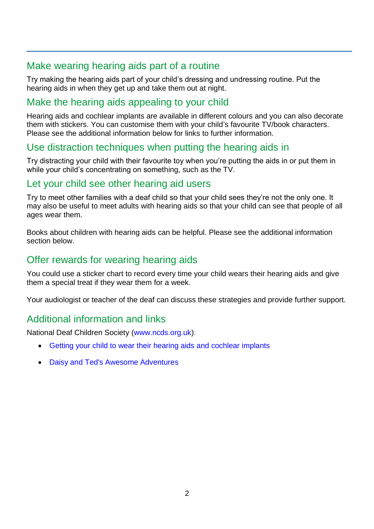# Make wearing hearing aids part of a routine

Try making the hearing aids part of your child's dressing and undressing routine. Put the hearing aids in when they get up and take them out at night.

# Make the hearing aids appealing to your child

Hearing aids and cochlear implants are available in different colours and you can also decorate them with stickers. You can customise them with your child's favourite TV/book characters. Please see the additional information below for links to further information.

# Use distraction techniques when putting the hearing aids in

Try distracting your child with their favourite toy when you're putting the aids in or put them in while your child's concentrating on something, such as the TV.

#### Let your child see other hearing aid users

Try to meet other families with a deaf child so that your child sees they're not the only one. It may also be useful to meet adults with hearing aids so that your child can see that people of all ages wear them.

Books about children with hearing aids can be helpful. Please see the additional information section below.

# Offer rewards for wearing hearing aids

You could use a sticker chart to record every time your child wears their hearing aids and give them a special treat if they wear them for a week.

Your audiologist or teacher of the deaf can discuss these strategies and provide further support.

# Additional information and links

National Deaf Children Society [\(www.ncds.org.uk\)](../www.ncds.org.uk):

- [Getting your child to wear their hearing aids and cochlear implants](https://www.ndcs.org.uk/information-and-support/childhood-deafness/hearing-aids/getting-your-child-to-wear-their-hearing-aids-and-cochlear-implants/)
- [Daisy and Ted's Awesome Adventures](https://www.ndcs.org.uk/information-and-support/parenting-and-family-life/parenting-a-deaf-child/our-childrens-storybooks/daisy-and-teds-awesome-adventures/)